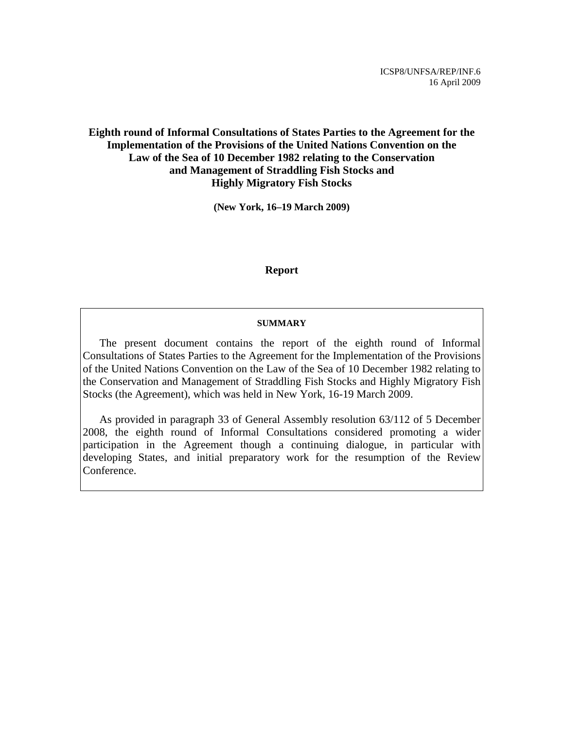ICSP8/UNFSA/REP/INF.6 16 April 2009

### **Eighth round of Informal Consultations of States Parties to the Agreement for the Implementation of the Provisions of the United Nations Convention on the Law of the Sea of 10 December 1982 relating to the Conservation and Management of Straddling Fish Stocks and Highly Migratory Fish Stocks**

**(New York, 16–19 March 2009)** 

#### **Report**

#### **SUMMARY**

 The present document contains the report of the eighth round of Informal Consultations of States Parties to the Agreement for the Implementation of the Provisions of the United Nations Convention on the Law of the Sea of 10 December 1982 relating to the Conservation and Management of Straddling Fish Stocks and Highly Migratory Fish Stocks (the Agreement), which was held in New York, 16-19 March 2009.

 As provided in paragraph 33 of General Assembly resolution 63/112 of 5 December 2008, the eighth round of Informal Consultations considered promoting a wider participation in the Agreement though a continuing dialogue, in particular with developing States, and initial preparatory work for the resumption of the Review Conference.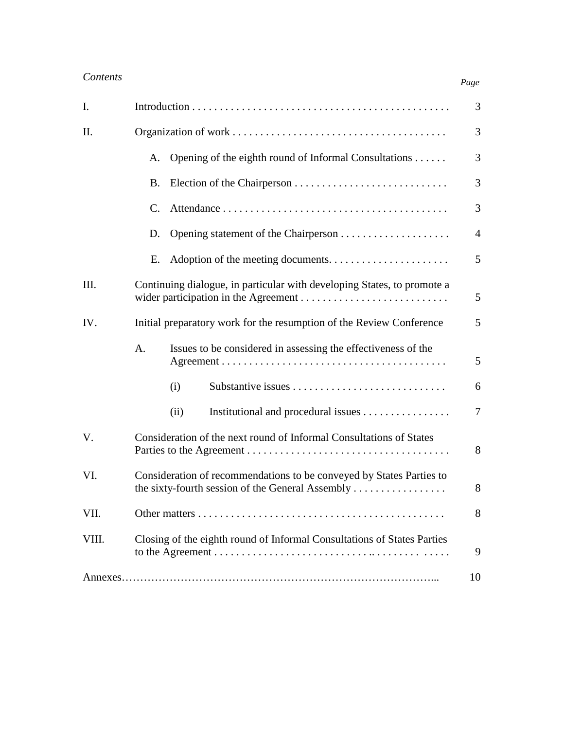| I.    |                                                                         | 3              |
|-------|-------------------------------------------------------------------------|----------------|
| II.   |                                                                         | 3              |
|       | Opening of the eighth round of Informal Consultations<br>A.             | 3              |
|       | <b>B.</b>                                                               | 3              |
|       | $\mathcal{C}$ .                                                         | $\mathfrak{Z}$ |
|       | D.                                                                      | $\overline{4}$ |
|       | Ε.                                                                      | 5              |
| III.  | Continuing dialogue, in particular with developing States, to promote a | 5              |
| IV.   | Initial preparatory work for the resumption of the Review Conference    | 5              |
|       | Issues to be considered in assessing the effectiveness of the<br>A.     | 5              |
|       | (i)                                                                     | 6              |
|       | Institutional and procedural issues<br>(ii)                             | $\tau$         |
| V.    | Consideration of the next round of Informal Consultations of States     | 8              |
| VI.   | Consideration of recommendations to be conveyed by States Parties to    | 8              |
| VII.  |                                                                         | 8              |
| VIII. | Closing of the eighth round of Informal Consultations of States Parties | 9              |
|       |                                                                         | 10             |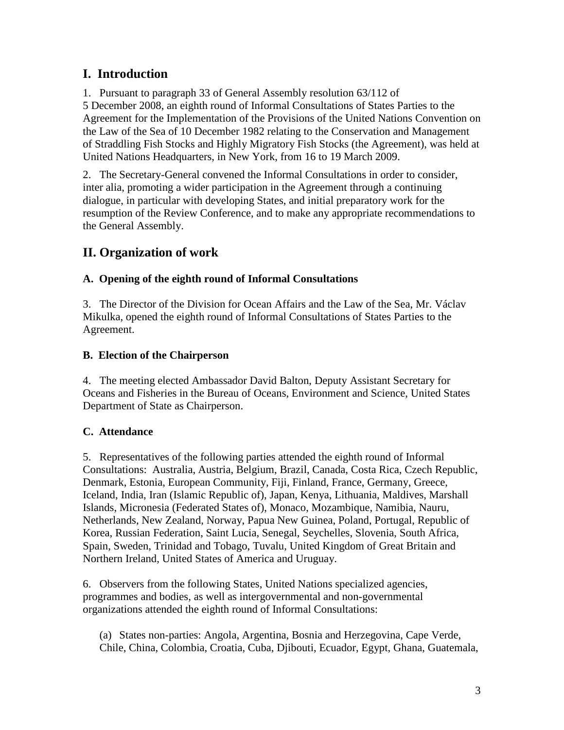## **I. Introduction**

1. Pursuant to paragraph 33 of General Assembly resolution 63/112 of 5 December 2008, an eighth round of Informal Consultations of States Parties to the Agreement for the Implementation of the Provisions of the United Nations Convention on the Law of the Sea of 10 December 1982 relating to the Conservation and Management of Straddling Fish Stocks and Highly Migratory Fish Stocks (the Agreement), was held at United Nations Headquarters, in New York, from 16 to 19 March 2009.

2. The Secretary-General convened the Informal Consultations in order to consider, inter alia, promoting a wider participation in the Agreement through a continuing dialogue, in particular with developing States, and initial preparatory work for the resumption of the Review Conference, and to make any appropriate recommendations to the General Assembly.

# **II. Organization of work**

### **A. Opening of the eighth round of Informal Consultations**

3. The Director of the Division for Ocean Affairs and the Law of the Sea, Mr. Václav Mikulka, opened the eighth round of Informal Consultations of States Parties to the Agreement.

### **B. Election of the Chairperson**

4. The meeting elected Ambassador David Balton, Deputy Assistant Secretary for Oceans and Fisheries in the Bureau of Oceans, Environment and Science, United States Department of State as Chairperson.

## **C. Attendance**

5. Representatives of the following parties attended the eighth round of Informal Consultations: Australia, Austria, Belgium, Brazil, Canada, Costa Rica, Czech Republic, Denmark, Estonia, European Community, Fiji, Finland, France, Germany, Greece, Iceland, India, Iran (Islamic Republic of), Japan, Kenya, Lithuania, Maldives, Marshall Islands, Micronesia (Federated States of), Monaco, Mozambique, Namibia, Nauru, Netherlands, New Zealand, Norway, Papua New Guinea, Poland, Portugal, Republic of Korea, Russian Federation, Saint Lucia, Senegal, Seychelles, Slovenia, South Africa, Spain, Sweden, Trinidad and Tobago, Tuvalu, United Kingdom of Great Britain and Northern Ireland, United States of America and Uruguay.

6. Observers from the following States, United Nations specialized agencies, programmes and bodies, as well as intergovernmental and non-governmental organizations attended the eighth round of Informal Consultations:

(a) States non-parties: Angola, Argentina, Bosnia and Herzegovina, Cape Verde, Chile, China, Colombia, Croatia, Cuba, Djibouti, Ecuador, Egypt, Ghana, Guatemala,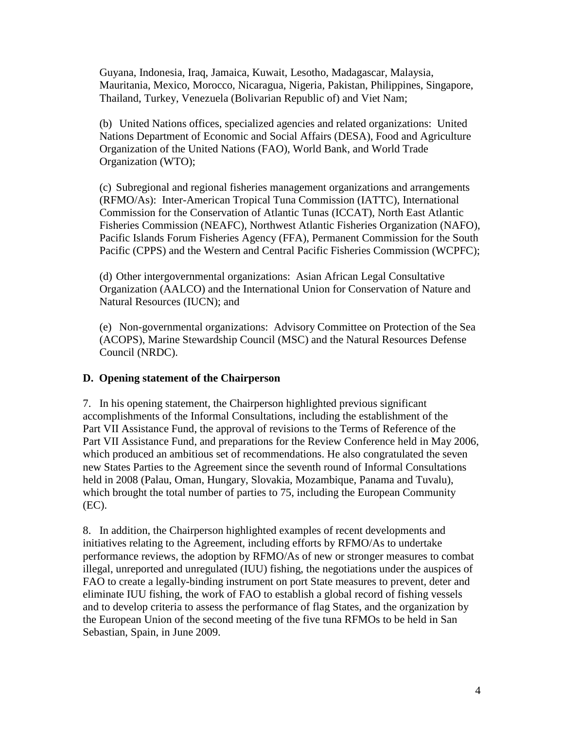Guyana, Indonesia, Iraq, Jamaica, Kuwait, Lesotho, Madagascar, Malaysia, Mauritania, Mexico, Morocco, Nicaragua, Nigeria, Pakistan, Philippines, Singapore, Thailand, Turkey, Venezuela (Bolivarian Republic of) and Viet Nam;

(b) United Nations offices, specialized agencies and related organizations: United Nations Department of Economic and Social Affairs (DESA), Food and Agriculture Organization of the United Nations (FAO), World Bank, and World Trade Organization (WTO);

(c) Subregional and regional fisheries management organizations and arrangements (RFMO/As): Inter-American Tropical Tuna Commission (IATTC), International Commission for the Conservation of Atlantic Tunas (ICCAT), North East Atlantic Fisheries Commission (NEAFC), Northwest Atlantic Fisheries Organization (NAFO), Pacific Islands Forum Fisheries Agency (FFA), Permanent Commission for the South Pacific (CPPS) and the Western and Central Pacific Fisheries Commission (WCPFC);

(d) Other intergovernmental organizations: Asian African Legal Consultative Organization (AALCO) and the International Union for Conservation of Nature and Natural Resources (IUCN); and

(e) Non-governmental organizations: Advisory Committee on Protection of the Sea (ACOPS), Marine Stewardship Council (MSC) and the Natural Resources Defense Council (NRDC).

### **D. Opening statement of the Chairperson**

7. In his opening statement, the Chairperson highlighted previous significant accomplishments of the Informal Consultations, including the establishment of the Part VII Assistance Fund, the approval of revisions to the Terms of Reference of the Part VII Assistance Fund, and preparations for the Review Conference held in May 2006, which produced an ambitious set of recommendations. He also congratulated the seven new States Parties to the Agreement since the seventh round of Informal Consultations held in 2008 (Palau, Oman, Hungary, Slovakia, Mozambique, Panama and Tuvalu), which brought the total number of parties to 75, including the European Community (EC).

8. In addition, the Chairperson highlighted examples of recent developments and initiatives relating to the Agreement, including efforts by RFMO/As to undertake performance reviews, the adoption by RFMO/As of new or stronger measures to combat illegal, unreported and unregulated (IUU) fishing, the negotiations under the auspices of FAO to create a legally-binding instrument on port State measures to prevent, deter and eliminate IUU fishing, the work of FAO to establish a global record of fishing vessels and to develop criteria to assess the performance of flag States, and the organization by the European Union of the second meeting of the five tuna RFMOs to be held in San Sebastian, Spain, in June 2009.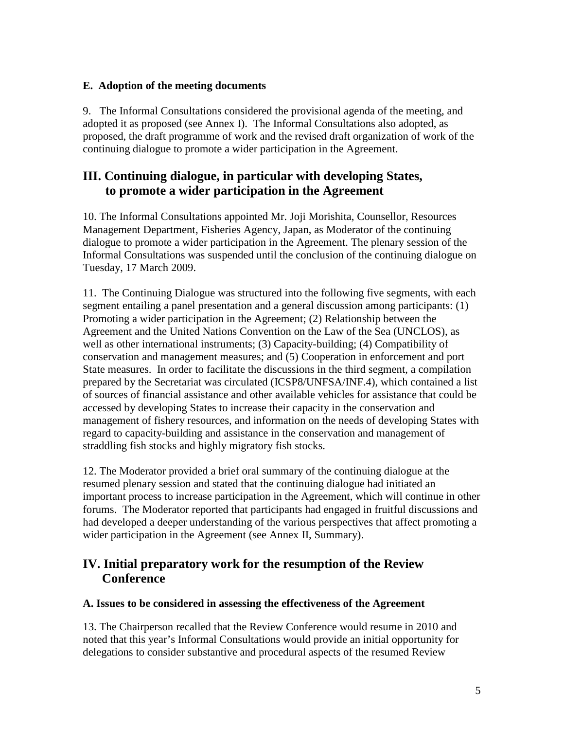### **E. Adoption of the meeting documents**

9. The Informal Consultations considered the provisional agenda of the meeting, and adopted it as proposed (see Annex I). The Informal Consultations also adopted, as proposed, the draft programme of work and the revised draft organization of work of the continuing dialogue to promote a wider participation in the Agreement.

### **III. Continuing dialogue, in particular with developing States, to promote a wider participation in the Agreement**

10. The Informal Consultations appointed Mr. Joji Morishita, Counsellor, Resources Management Department, Fisheries Agency, Japan, as Moderator of the continuing dialogue to promote a wider participation in the Agreement. The plenary session of the Informal Consultations was suspended until the conclusion of the continuing dialogue on Tuesday, 17 March 2009.

11. The Continuing Dialogue was structured into the following five segments, with each segment entailing a panel presentation and a general discussion among participants: (1) Promoting a wider participation in the Agreement; (2) Relationship between the Agreement and the United Nations Convention on the Law of the Sea (UNCLOS), as well as other international instruments; (3) Capacity-building; (4) Compatibility of conservation and management measures; and (5) Cooperation in enforcement and port State measures. In order to facilitate the discussions in the third segment, a compilation prepared by the Secretariat was circulated (ICSP8/UNFSA/INF.4), which contained a list of sources of financial assistance and other available vehicles for assistance that could be accessed by developing States to increase their capacity in the conservation and management of fishery resources, and information on the needs of developing States with regard to capacity-building and assistance in the conservation and management of straddling fish stocks and highly migratory fish stocks.

12. The Moderator provided a brief oral summary of the continuing dialogue at the resumed plenary session and stated that the continuing dialogue had initiated an important process to increase participation in the Agreement, which will continue in other forums. The Moderator reported that participants had engaged in fruitful discussions and had developed a deeper understanding of the various perspectives that affect promoting a wider participation in the Agreement (see Annex II, Summary).

### **IV. Initial preparatory work for the resumption of the Review Conference**

#### **A. Issues to be considered in assessing the effectiveness of the Agreement**

13. The Chairperson recalled that the Review Conference would resume in 2010 and noted that this year's Informal Consultations would provide an initial opportunity for delegations to consider substantive and procedural aspects of the resumed Review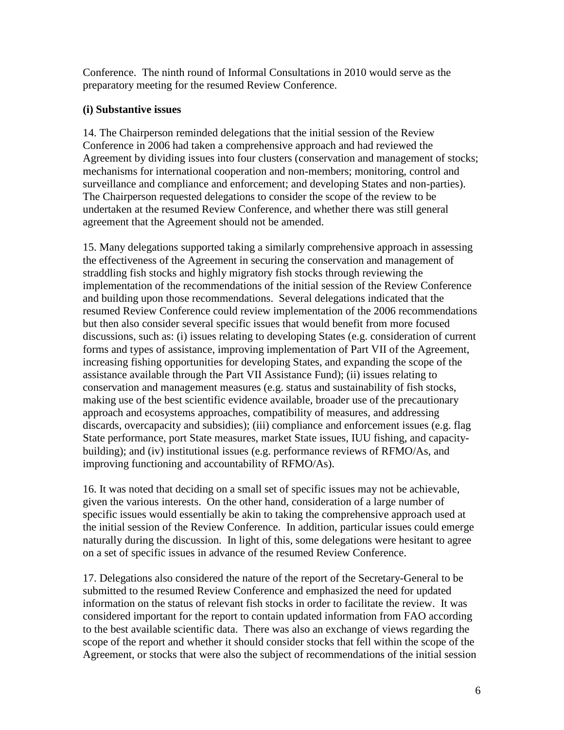Conference. The ninth round of Informal Consultations in 2010 would serve as the preparatory meeting for the resumed Review Conference.

### **(i) Substantive issues**

14. The Chairperson reminded delegations that the initial session of the Review Conference in 2006 had taken a comprehensive approach and had reviewed the Agreement by dividing issues into four clusters (conservation and management of stocks; mechanisms for international cooperation and non-members; monitoring, control and surveillance and compliance and enforcement; and developing States and non-parties). The Chairperson requested delegations to consider the scope of the review to be undertaken at the resumed Review Conference, and whether there was still general agreement that the Agreement should not be amended.

15. Many delegations supported taking a similarly comprehensive approach in assessing the effectiveness of the Agreement in securing the conservation and management of straddling fish stocks and highly migratory fish stocks through reviewing the implementation of the recommendations of the initial session of the Review Conference and building upon those recommendations. Several delegations indicated that the resumed Review Conference could review implementation of the 2006 recommendations but then also consider several specific issues that would benefit from more focused discussions, such as: (i) issues relating to developing States (e.g. consideration of current forms and types of assistance, improving implementation of Part VII of the Agreement, increasing fishing opportunities for developing States, and expanding the scope of the assistance available through the Part VII Assistance Fund); (ii) issues relating to conservation and management measures (e.g. status and sustainability of fish stocks, making use of the best scientific evidence available, broader use of the precautionary approach and ecosystems approaches, compatibility of measures, and addressing discards, overcapacity and subsidies); (iii) compliance and enforcement issues (e.g. flag State performance, port State measures, market State issues, IUU fishing, and capacitybuilding); and (iv) institutional issues (e.g. performance reviews of RFMO/As, and improving functioning and accountability of RFMO/As).

16. It was noted that deciding on a small set of specific issues may not be achievable, given the various interests. On the other hand, consideration of a large number of specific issues would essentially be akin to taking the comprehensive approach used at the initial session of the Review Conference. In addition, particular issues could emerge naturally during the discussion. In light of this, some delegations were hesitant to agree on a set of specific issues in advance of the resumed Review Conference.

17. Delegations also considered the nature of the report of the Secretary-General to be submitted to the resumed Review Conference and emphasized the need for updated information on the status of relevant fish stocks in order to facilitate the review. It was considered important for the report to contain updated information from FAO according to the best available scientific data. There was also an exchange of views regarding the scope of the report and whether it should consider stocks that fell within the scope of the Agreement, or stocks that were also the subject of recommendations of the initial session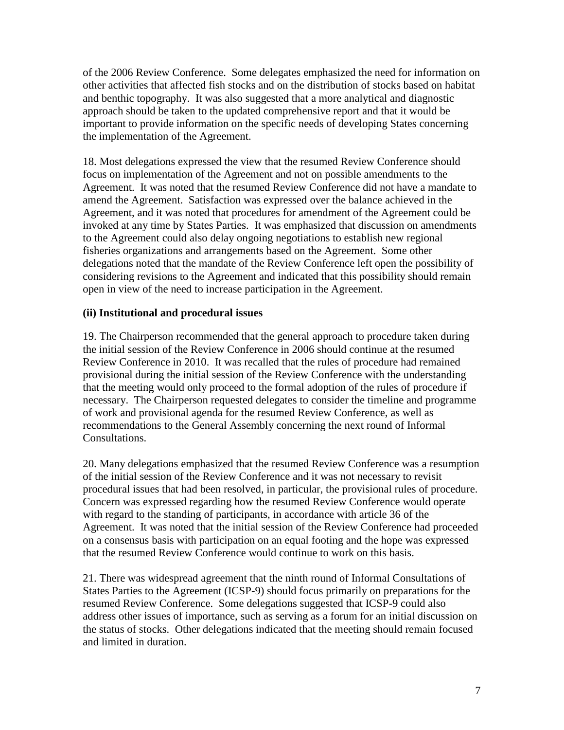of the 2006 Review Conference. Some delegates emphasized the need for information on other activities that affected fish stocks and on the distribution of stocks based on habitat and benthic topography. It was also suggested that a more analytical and diagnostic approach should be taken to the updated comprehensive report and that it would be important to provide information on the specific needs of developing States concerning the implementation of the Agreement.

18. Most delegations expressed the view that the resumed Review Conference should focus on implementation of the Agreement and not on possible amendments to the Agreement. It was noted that the resumed Review Conference did not have a mandate to amend the Agreement. Satisfaction was expressed over the balance achieved in the Agreement, and it was noted that procedures for amendment of the Agreement could be invoked at any time by States Parties. It was emphasized that discussion on amendments to the Agreement could also delay ongoing negotiations to establish new regional fisheries organizations and arrangements based on the Agreement. Some other delegations noted that the mandate of the Review Conference left open the possibility of considering revisions to the Agreement and indicated that this possibility should remain open in view of the need to increase participation in the Agreement.

### **(ii) Institutional and procedural issues**

19. The Chairperson recommended that the general approach to procedure taken during the initial session of the Review Conference in 2006 should continue at the resumed Review Conference in 2010. It was recalled that the rules of procedure had remained provisional during the initial session of the Review Conference with the understanding that the meeting would only proceed to the formal adoption of the rules of procedure if necessary. The Chairperson requested delegates to consider the timeline and programme of work and provisional agenda for the resumed Review Conference, as well as recommendations to the General Assembly concerning the next round of Informal Consultations.

20. Many delegations emphasized that the resumed Review Conference was a resumption of the initial session of the Review Conference and it was not necessary to revisit procedural issues that had been resolved, in particular, the provisional rules of procedure. Concern was expressed regarding how the resumed Review Conference would operate with regard to the standing of participants, in accordance with article 36 of the Agreement. It was noted that the initial session of the Review Conference had proceeded on a consensus basis with participation on an equal footing and the hope was expressed that the resumed Review Conference would continue to work on this basis.

21. There was widespread agreement that the ninth round of Informal Consultations of States Parties to the Agreement (ICSP-9) should focus primarily on preparations for the resumed Review Conference. Some delegations suggested that ICSP-9 could also address other issues of importance, such as serving as a forum for an initial discussion on the status of stocks. Other delegations indicated that the meeting should remain focused and limited in duration.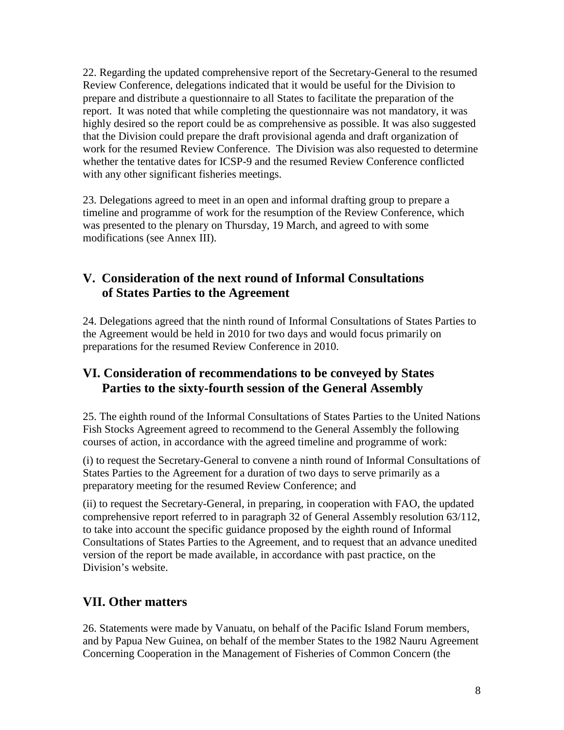22. Regarding the updated comprehensive report of the Secretary-General to the resumed Review Conference, delegations indicated that it would be useful for the Division to prepare and distribute a questionnaire to all States to facilitate the preparation of the report. It was noted that while completing the questionnaire was not mandatory, it was highly desired so the report could be as comprehensive as possible. It was also suggested that the Division could prepare the draft provisional agenda and draft organization of work for the resumed Review Conference. The Division was also requested to determine whether the tentative dates for ICSP-9 and the resumed Review Conference conflicted with any other significant fisheries meetings.

23. Delegations agreed to meet in an open and informal drafting group to prepare a timeline and programme of work for the resumption of the Review Conference, which was presented to the plenary on Thursday, 19 March, and agreed to with some modifications (see Annex III).

## **V. Consideration of the next round of Informal Consultations of States Parties to the Agreement**

24. Delegations agreed that the ninth round of Informal Consultations of States Parties to the Agreement would be held in 2010 for two days and would focus primarily on preparations for the resumed Review Conference in 2010.

## **VI. Consideration of recommendations to be conveyed by States Parties to the sixty-fourth session of the General Assembly**

25. The eighth round of the Informal Consultations of States Parties to the United Nations Fish Stocks Agreement agreed to recommend to the General Assembly the following courses of action, in accordance with the agreed timeline and programme of work:

(i) to request the Secretary-General to convene a ninth round of Informal Consultations of States Parties to the Agreement for a duration of two days to serve primarily as a preparatory meeting for the resumed Review Conference; and

(ii) to request the Secretary-General, in preparing, in cooperation with FAO, the updated comprehensive report referred to in paragraph 32 of General Assembly resolution 63/112, to take into account the specific guidance proposed by the eighth round of Informal Consultations of States Parties to the Agreement, and to request that an advance unedited version of the report be made available, in accordance with past practice, on the Division's website.

# **VII. Other matters**

26. Statements were made by Vanuatu, on behalf of the Pacific Island Forum members, and by Papua New Guinea, on behalf of the member States to the 1982 Nauru Agreement Concerning Cooperation in the Management of Fisheries of Common Concern (the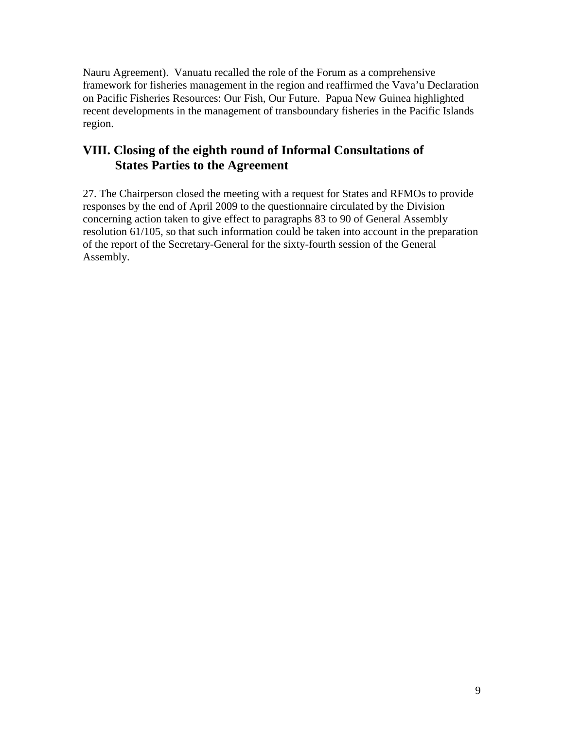Nauru Agreement). Vanuatu recalled the role of the Forum as a comprehensive framework for fisheries management in the region and reaffirmed the Vava'u Declaration on Pacific Fisheries Resources: Our Fish, Our Future. Papua New Guinea highlighted recent developments in the management of transboundary fisheries in the Pacific Islands region.

### **VIII. Closing of the eighth round of Informal Consultations of States Parties to the Agreement**

27. The Chairperson closed the meeting with a request for States and RFMOs to provide responses by the end of April 2009 to the questionnaire circulated by the Division concerning action taken to give effect to paragraphs 83 to 90 of General Assembly resolution 61/105, so that such information could be taken into account in the preparation of the report of the Secretary-General for the sixty-fourth session of the General Assembly.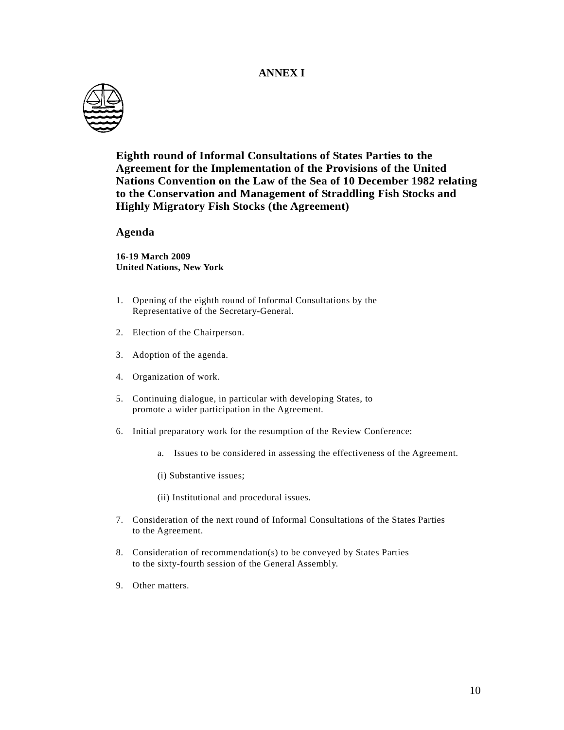#### **ANNEX I**



**Eighth round of Informal Consultations of States Parties to the Agreement for the Implementation of the Provisions of the United Nations Convention on the Law of the Sea of 10 December 1982 relating to the Conservation and Management of Straddling Fish Stocks and Highly Migratory Fish Stocks (the Agreement)** 

#### **Agenda**

**16-19 March 2009 United Nations, New York** 

- 1. Opening of the eighth round of Informal Consultations by the Representative of the Secretary-General.
- 2. Election of the Chairperson.
- 3. Adoption of the agenda.
- 4. Organization of work.
- 5. Continuing dialogue, in particular with developing States, to promote a wider participation in the Agreement.
- 6. Initial preparatory work for the resumption of the Review Conference:
	- a. Issues to be considered in assessing the effectiveness of the Agreement.
	- (i) Substantive issues;
	- (ii) Institutional and procedural issues.
- 7. Consideration of the next round of Informal Consultations of the States Parties to the Agreement.
- 8. Consideration of recommendation(s) to be conveyed by States Parties to the sixty-fourth session of the General Assembly.
- 9. Other matters.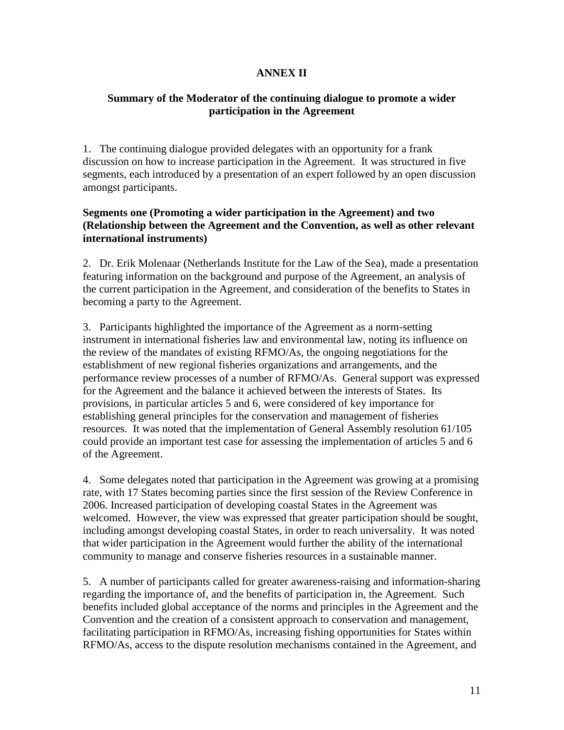### **ANNEX II**

### **Summary of the Moderator of the continuing dialogue to promote a wider participation in the Agreement**

1. The continuing dialogue provided delegates with an opportunity for a frank discussion on how to increase participation in the Agreement. It was structured in five segments, each introduced by a presentation of an expert followed by an open discussion amongst participants.

### **Segments one (Promoting a wider participation in the Agreement) and two (Relationship between the Agreement and the Convention, as well as other relevant international instruments)**

2. Dr. Erik Molenaar (Netherlands Institute for the Law of the Sea), made a presentation featuring information on the background and purpose of the Agreement, an analysis of the current participation in the Agreement, and consideration of the benefits to States in becoming a party to the Agreement.

3. Participants highlighted the importance of the Agreement as a norm-setting instrument in international fisheries law and environmental law, noting its influence on the review of the mandates of existing RFMO/As, the ongoing negotiations for the establishment of new regional fisheries organizations and arrangements, and the performance review processes of a number of RFMO/As. General support was expressed for the Agreement and the balance it achieved between the interests of States. Its provisions, in particular articles 5 and 6, were considered of key importance for establishing general principles for the conservation and management of fisheries resources. It was noted that the implementation of General Assembly resolution 61/105 could provide an important test case for assessing the implementation of articles 5 and 6 of the Agreement.

4. Some delegates noted that participation in the Agreement was growing at a promising rate, with 17 States becoming parties since the first session of the Review Conference in 2006. Increased participation of developing coastal States in the Agreement was welcomed. However, the view was expressed that greater participation should be sought, including amongst developing coastal States, in order to reach universality. It was noted that wider participation in the Agreement would further the ability of the international community to manage and conserve fisheries resources in a sustainable manner.

5. A number of participants called for greater awareness-raising and information-sharing regarding the importance of, and the benefits of participation in, the Agreement. Such benefits included global acceptance of the norms and principles in the Agreement and the Convention and the creation of a consistent approach to conservation and management, facilitating participation in RFMO/As, increasing fishing opportunities for States within RFMO/As, access to the dispute resolution mechanisms contained in the Agreement, and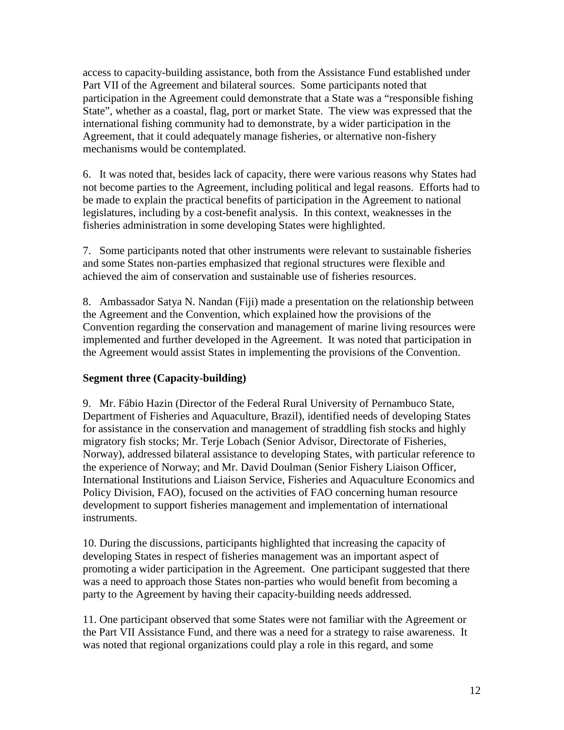access to capacity-building assistance, both from the Assistance Fund established under Part VII of the Agreement and bilateral sources. Some participants noted that participation in the Agreement could demonstrate that a State was a "responsible fishing State", whether as a coastal, flag, port or market State. The view was expressed that the international fishing community had to demonstrate, by a wider participation in the Agreement, that it could adequately manage fisheries, or alternative non-fishery mechanisms would be contemplated.

6. It was noted that, besides lack of capacity, there were various reasons why States had not become parties to the Agreement, including political and legal reasons. Efforts had to be made to explain the practical benefits of participation in the Agreement to national legislatures, including by a cost-benefit analysis. In this context, weaknesses in the fisheries administration in some developing States were highlighted.

7. Some participants noted that other instruments were relevant to sustainable fisheries and some States non-parties emphasized that regional structures were flexible and achieved the aim of conservation and sustainable use of fisheries resources.

8. Ambassador Satya N. Nandan (Fiji) made a presentation on the relationship between the Agreement and the Convention, which explained how the provisions of the Convention regarding the conservation and management of marine living resources were implemented and further developed in the Agreement. It was noted that participation in the Agreement would assist States in implementing the provisions of the Convention.

### **Segment three (Capacity-building)**

9. Mr. Fábio Hazin (Director of the Federal Rural University of Pernambuco State, Department of Fisheries and Aquaculture, Brazil), identified needs of developing States for assistance in the conservation and management of straddling fish stocks and highly migratory fish stocks; Mr. Terje Lobach (Senior Advisor, Directorate of Fisheries, Norway), addressed bilateral assistance to developing States, with particular reference to the experience of Norway; and Mr. David Doulman (Senior Fishery Liaison Officer, International Institutions and Liaison Service, Fisheries and Aquaculture Economics and Policy Division, FAO), focused on the activities of FAO concerning human resource development to support fisheries management and implementation of international instruments.

10. During the discussions, participants highlighted that increasing the capacity of developing States in respect of fisheries management was an important aspect of promoting a wider participation in the Agreement. One participant suggested that there was a need to approach those States non-parties who would benefit from becoming a party to the Agreement by having their capacity-building needs addressed.

11. One participant observed that some States were not familiar with the Agreement or the Part VII Assistance Fund, and there was a need for a strategy to raise awareness. It was noted that regional organizations could play a role in this regard, and some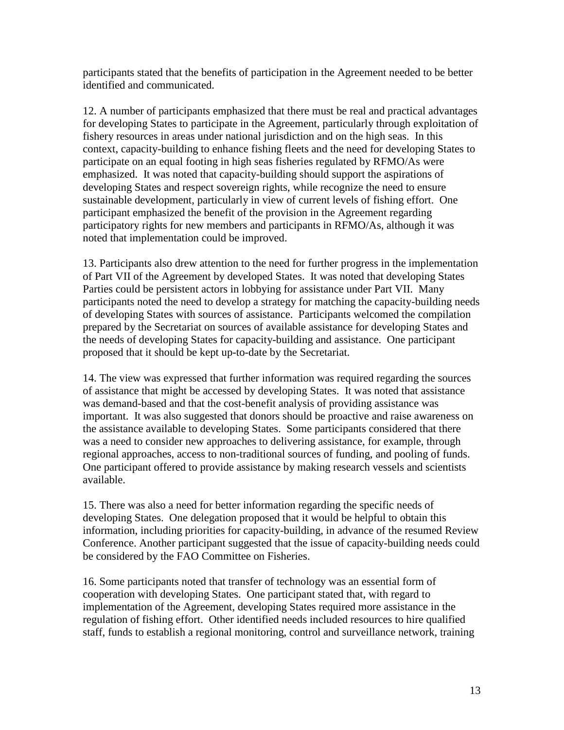participants stated that the benefits of participation in the Agreement needed to be better identified and communicated.

12. A number of participants emphasized that there must be real and practical advantages for developing States to participate in the Agreement, particularly through exploitation of fishery resources in areas under national jurisdiction and on the high seas. In this context, capacity-building to enhance fishing fleets and the need for developing States to participate on an equal footing in high seas fisheries regulated by RFMO/As were emphasized. It was noted that capacity-building should support the aspirations of developing States and respect sovereign rights, while recognize the need to ensure sustainable development, particularly in view of current levels of fishing effort. One participant emphasized the benefit of the provision in the Agreement regarding participatory rights for new members and participants in RFMO/As, although it was noted that implementation could be improved.

13. Participants also drew attention to the need for further progress in the implementation of Part VII of the Agreement by developed States. It was noted that developing States Parties could be persistent actors in lobbying for assistance under Part VII. Many participants noted the need to develop a strategy for matching the capacity-building needs of developing States with sources of assistance. Participants welcomed the compilation prepared by the Secretariat on sources of available assistance for developing States and the needs of developing States for capacity-building and assistance. One participant proposed that it should be kept up-to-date by the Secretariat.

14. The view was expressed that further information was required regarding the sources of assistance that might be accessed by developing States. It was noted that assistance was demand-based and that the cost-benefit analysis of providing assistance was important. It was also suggested that donors should be proactive and raise awareness on the assistance available to developing States. Some participants considered that there was a need to consider new approaches to delivering assistance, for example, through regional approaches, access to non-traditional sources of funding, and pooling of funds. One participant offered to provide assistance by making research vessels and scientists available.

15. There was also a need for better information regarding the specific needs of developing States. One delegation proposed that it would be helpful to obtain this information, including priorities for capacity-building, in advance of the resumed Review Conference. Another participant suggested that the issue of capacity-building needs could be considered by the FAO Committee on Fisheries.

16. Some participants noted that transfer of technology was an essential form of cooperation with developing States. One participant stated that, with regard to implementation of the Agreement, developing States required more assistance in the regulation of fishing effort. Other identified needs included resources to hire qualified staff, funds to establish a regional monitoring, control and surveillance network, training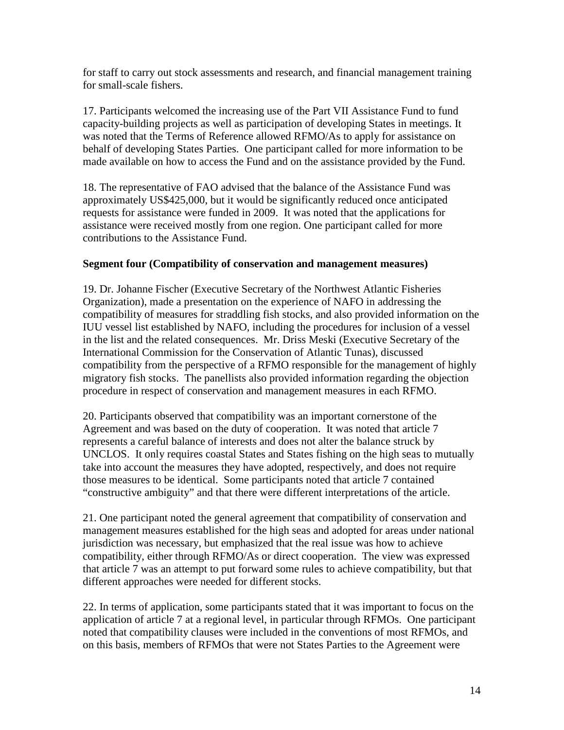for staff to carry out stock assessments and research, and financial management training for small-scale fishers.

17. Participants welcomed the increasing use of the Part VII Assistance Fund to fund capacity-building projects as well as participation of developing States in meetings. It was noted that the Terms of Reference allowed RFMO/As to apply for assistance on behalf of developing States Parties. One participant called for more information to be made available on how to access the Fund and on the assistance provided by the Fund.

18. The representative of FAO advised that the balance of the Assistance Fund was approximately US\$425,000, but it would be significantly reduced once anticipated requests for assistance were funded in 2009. It was noted that the applications for assistance were received mostly from one region. One participant called for more contributions to the Assistance Fund.

### **Segment four (Compatibility of conservation and management measures)**

19. Dr. Johanne Fischer (Executive Secretary of the Northwest Atlantic Fisheries Organization), made a presentation on the experience of NAFO in addressing the compatibility of measures for straddling fish stocks, and also provided information on the IUU vessel list established by NAFO, including the procedures for inclusion of a vessel in the list and the related consequences. Mr. Driss Meski (Executive Secretary of the International Commission for the Conservation of Atlantic Tunas), discussed compatibility from the perspective of a RFMO responsible for the management of highly migratory fish stocks. The panellists also provided information regarding the objection procedure in respect of conservation and management measures in each RFMO.

20. Participants observed that compatibility was an important cornerstone of the Agreement and was based on the duty of cooperation. It was noted that article 7 represents a careful balance of interests and does not alter the balance struck by UNCLOS. It only requires coastal States and States fishing on the high seas to mutually take into account the measures they have adopted, respectively, and does not require those measures to be identical. Some participants noted that article 7 contained "constructive ambiguity" and that there were different interpretations of the article.

21. One participant noted the general agreement that compatibility of conservation and management measures established for the high seas and adopted for areas under national jurisdiction was necessary, but emphasized that the real issue was how to achieve compatibility, either through RFMO/As or direct cooperation. The view was expressed that article 7 was an attempt to put forward some rules to achieve compatibility, but that different approaches were needed for different stocks.

22. In terms of application, some participants stated that it was important to focus on the application of article 7 at a regional level, in particular through RFMOs. One participant noted that compatibility clauses were included in the conventions of most RFMOs, and on this basis, members of RFMOs that were not States Parties to the Agreement were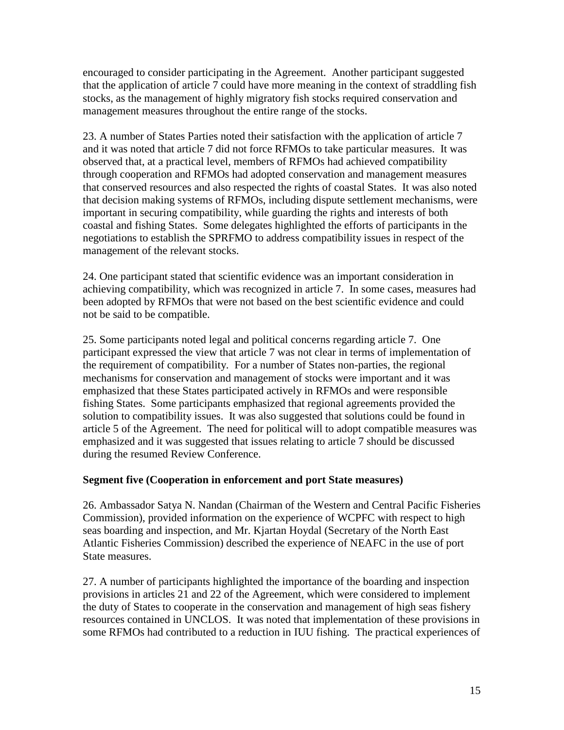encouraged to consider participating in the Agreement. Another participant suggested that the application of article 7 could have more meaning in the context of straddling fish stocks, as the management of highly migratory fish stocks required conservation and management measures throughout the entire range of the stocks.

23. A number of States Parties noted their satisfaction with the application of article 7 and it was noted that article 7 did not force RFMOs to take particular measures. It was observed that, at a practical level, members of RFMOs had achieved compatibility through cooperation and RFMOs had adopted conservation and management measures that conserved resources and also respected the rights of coastal States. It was also noted that decision making systems of RFMOs, including dispute settlement mechanisms, were important in securing compatibility, while guarding the rights and interests of both coastal and fishing States. Some delegates highlighted the efforts of participants in the negotiations to establish the SPRFMO to address compatibility issues in respect of the management of the relevant stocks.

24. One participant stated that scientific evidence was an important consideration in achieving compatibility, which was recognized in article 7. In some cases, measures had been adopted by RFMOs that were not based on the best scientific evidence and could not be said to be compatible.

25. Some participants noted legal and political concerns regarding article 7. One participant expressed the view that article 7 was not clear in terms of implementation of the requirement of compatibility. For a number of States non-parties, the regional mechanisms for conservation and management of stocks were important and it was emphasized that these States participated actively in RFMOs and were responsible fishing States. Some participants emphasized that regional agreements provided the solution to compatibility issues. It was also suggested that solutions could be found in article 5 of the Agreement. The need for political will to adopt compatible measures was emphasized and it was suggested that issues relating to article 7 should be discussed during the resumed Review Conference.

### **Segment five (Cooperation in enforcement and port State measures)**

26. Ambassador Satya N. Nandan (Chairman of the Western and Central Pacific Fisheries Commission), provided information on the experience of WCPFC with respect to high seas boarding and inspection, and Mr. Kjartan Hoydal (Secretary of the North East Atlantic Fisheries Commission) described the experience of NEAFC in the use of port State measures.

27. A number of participants highlighted the importance of the boarding and inspection provisions in articles 21 and 22 of the Agreement, which were considered to implement the duty of States to cooperate in the conservation and management of high seas fishery resources contained in UNCLOS. It was noted that implementation of these provisions in some RFMOs had contributed to a reduction in IUU fishing. The practical experiences of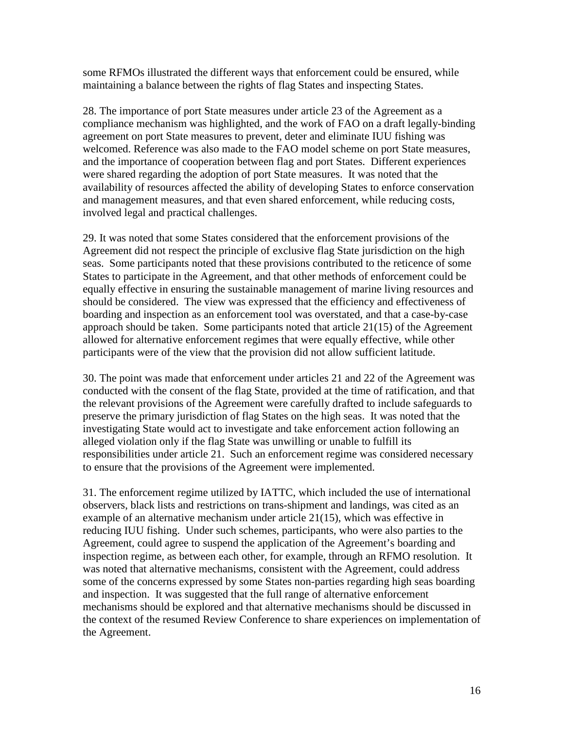some RFMOs illustrated the different ways that enforcement could be ensured, while maintaining a balance between the rights of flag States and inspecting States.

28. The importance of port State measures under article 23 of the Agreement as a compliance mechanism was highlighted, and the work of FAO on a draft legally-binding agreement on port State measures to prevent, deter and eliminate IUU fishing was welcomed. Reference was also made to the FAO model scheme on port State measures, and the importance of cooperation between flag and port States. Different experiences were shared regarding the adoption of port State measures. It was noted that the availability of resources affected the ability of developing States to enforce conservation and management measures, and that even shared enforcement, while reducing costs, involved legal and practical challenges.

29. It was noted that some States considered that the enforcement provisions of the Agreement did not respect the principle of exclusive flag State jurisdiction on the high seas. Some participants noted that these provisions contributed to the reticence of some States to participate in the Agreement, and that other methods of enforcement could be equally effective in ensuring the sustainable management of marine living resources and should be considered. The view was expressed that the efficiency and effectiveness of boarding and inspection as an enforcement tool was overstated, and that a case-by-case approach should be taken. Some participants noted that article 21(15) of the Agreement allowed for alternative enforcement regimes that were equally effective, while other participants were of the view that the provision did not allow sufficient latitude.

30. The point was made that enforcement under articles 21 and 22 of the Agreement was conducted with the consent of the flag State, provided at the time of ratification, and that the relevant provisions of the Agreement were carefully drafted to include safeguards to preserve the primary jurisdiction of flag States on the high seas. It was noted that the investigating State would act to investigate and take enforcement action following an alleged violation only if the flag State was unwilling or unable to fulfill its responsibilities under article 21. Such an enforcement regime was considered necessary to ensure that the provisions of the Agreement were implemented.

31. The enforcement regime utilized by IATTC, which included the use of international observers, black lists and restrictions on trans-shipment and landings, was cited as an example of an alternative mechanism under article 21(15), which was effective in reducing IUU fishing. Under such schemes, participants, who were also parties to the Agreement, could agree to suspend the application of the Agreement's boarding and inspection regime, as between each other, for example, through an RFMO resolution. It was noted that alternative mechanisms, consistent with the Agreement, could address some of the concerns expressed by some States non-parties regarding high seas boarding and inspection. It was suggested that the full range of alternative enforcement mechanisms should be explored and that alternative mechanisms should be discussed in the context of the resumed Review Conference to share experiences on implementation of the Agreement.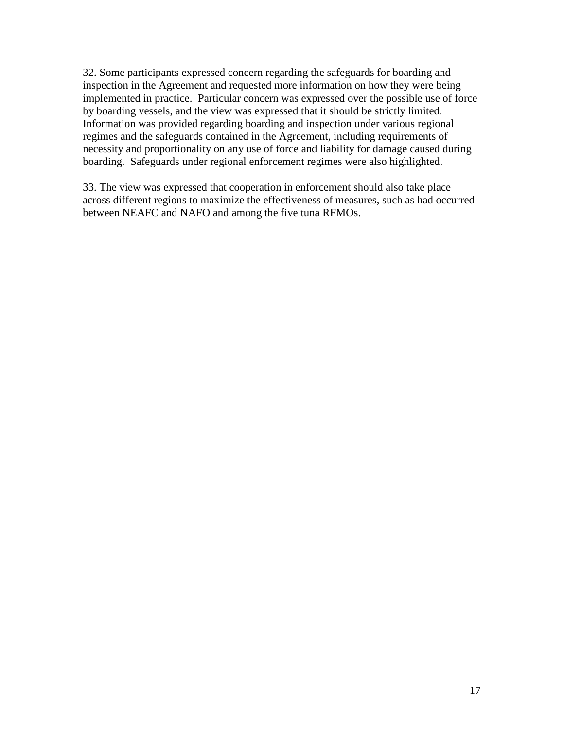32. Some participants expressed concern regarding the safeguards for boarding and inspection in the Agreement and requested more information on how they were being implemented in practice. Particular concern was expressed over the possible use of force by boarding vessels, and the view was expressed that it should be strictly limited. Information was provided regarding boarding and inspection under various regional regimes and the safeguards contained in the Agreement, including requirements of necessity and proportionality on any use of force and liability for damage caused during boarding. Safeguards under regional enforcement regimes were also highlighted.

33. The view was expressed that cooperation in enforcement should also take place across different regions to maximize the effectiveness of measures, such as had occurred between NEAFC and NAFO and among the five tuna RFMOs.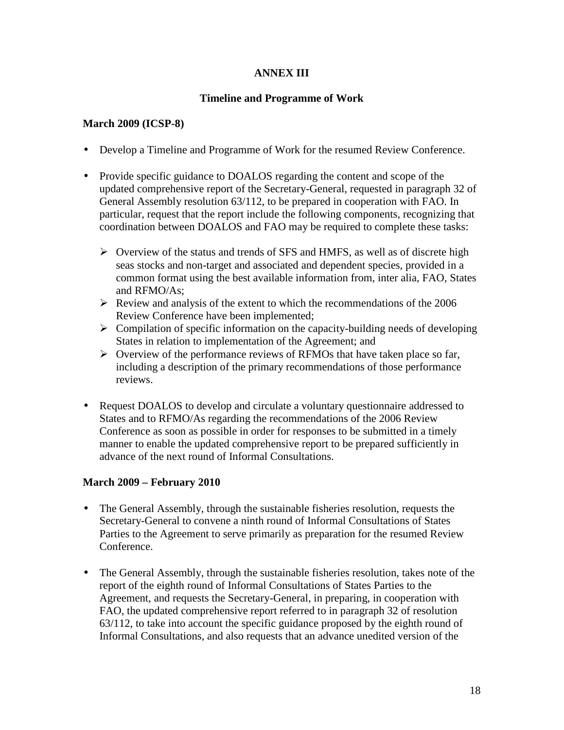### **ANNEX III**

### **Timeline and Programme of Work**

### **March 2009 (ICSP-8)**

- Develop a Timeline and Programme of Work for the resumed Review Conference.
- Provide specific guidance to DOALOS regarding the content and scope of the updated comprehensive report of the Secretary-General, requested in paragraph 32 of General Assembly resolution 63/112, to be prepared in cooperation with FAO. In particular, request that the report include the following components, recognizing that coordination between DOALOS and FAO may be required to complete these tasks:
	- $\triangleright$  Overview of the status and trends of SFS and HMFS, as well as of discrete high seas stocks and non-target and associated and dependent species, provided in a common format using the best available information from, inter alia, FAO, States and RFMO/As;
	- $\triangleright$  Review and analysis of the extent to which the recommendations of the 2006 Review Conference have been implemented;
	- $\triangleright$  Compilation of specific information on the capacity-building needs of developing States in relation to implementation of the Agreement; and
	- $\triangleright$  Overview of the performance reviews of RFMOs that have taken place so far, including a description of the primary recommendations of those performance reviews.
- Request DOALOS to develop and circulate a voluntary questionnaire addressed to States and to RFMO/As regarding the recommendations of the 2006 Review Conference as soon as possible in order for responses to be submitted in a timely manner to enable the updated comprehensive report to be prepared sufficiently in advance of the next round of Informal Consultations.

### **March 2009 – February 2010**

- The General Assembly, through the sustainable fisheries resolution, requests the Secretary-General to convene a ninth round of Informal Consultations of States Parties to the Agreement to serve primarily as preparation for the resumed Review Conference.
- The General Assembly, through the sustainable fisheries resolution, takes note of the report of the eighth round of Informal Consultations of States Parties to the Agreement, and requests the Secretary-General, in preparing, in cooperation with FAO, the updated comprehensive report referred to in paragraph 32 of resolution 63/112, to take into account the specific guidance proposed by the eighth round of Informal Consultations, and also requests that an advance unedited version of the